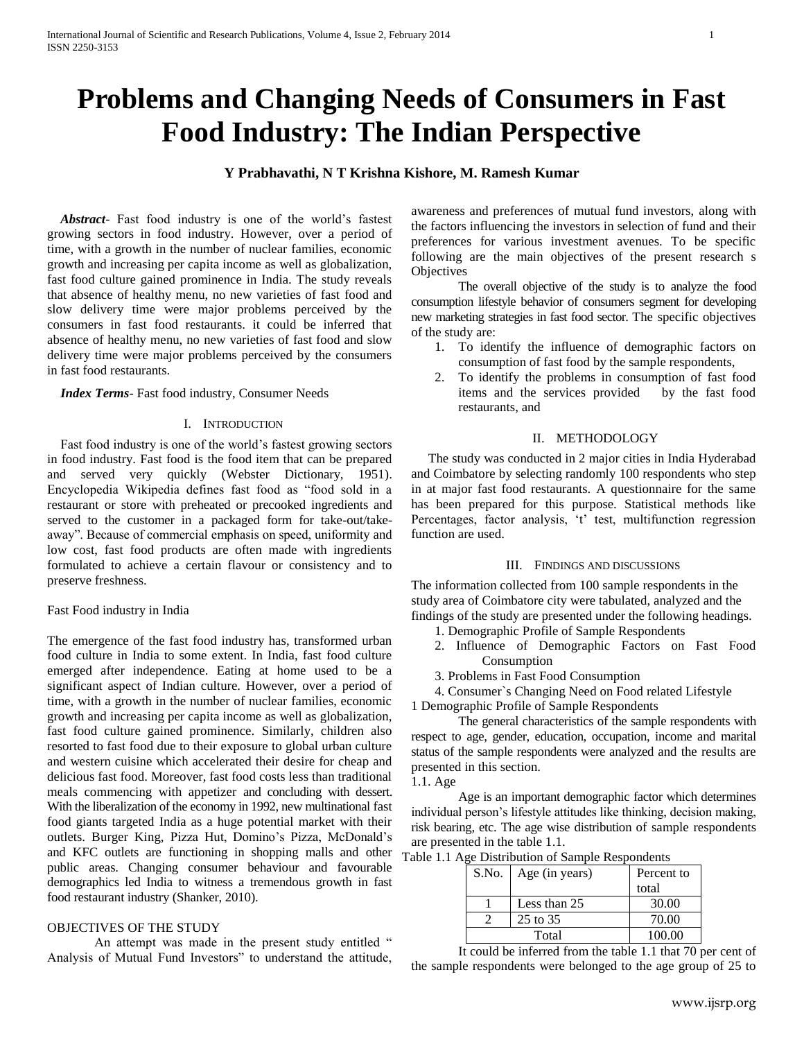# **Problems and Changing Needs of Consumers in Fast Food Industry: The Indian Perspective**

## **Y Prabhavathi, N T Krishna Kishore, M. Ramesh Kumar**

 *Abstract*- Fast food industry is one of the world's fastest growing sectors in food industry. However, over a period of time, with a growth in the number of nuclear families, economic growth and increasing per capita income as well as globalization, fast food culture gained prominence in India. The study reveals that absence of healthy menu, no new varieties of fast food and slow delivery time were major problems perceived by the consumers in fast food restaurants. it could be inferred that absence of healthy menu, no new varieties of fast food and slow delivery time were major problems perceived by the consumers in fast food restaurants.

*Index Terms*- Fast food industry, Consumer Needs

#### I. INTRODUCTION

 Fast food industry is one of the world's fastest growing sectors in food industry. Fast food is the food item that can be prepared and served very quickly (Webster Dictionary, 1951). Encyclopedia Wikipedia defines fast food as "food sold in a restaurant or store with preheated or precooked ingredients and served to the customer in a packaged form for take-out/takeaway". Because of commercial emphasis on speed, uniformity and low cost, fast food products are often made with ingredients formulated to achieve a certain flavour or consistency and to preserve freshness.

### Fast Food industry in India

The emergence of the fast food industry has, transformed urban food culture in India to some extent. In India, fast food culture emerged after independence. Eating at home used to be a significant aspect of Indian culture. However, over a period of time, with a growth in the number of nuclear families, economic growth and increasing per capita income as well as globalization, fast food culture gained prominence. Similarly, children also resorted to fast food due to their exposure to global urban culture and western cuisine which accelerated their desire for cheap and delicious fast food. Moreover, fast food costs less than traditional meals commencing with appetizer and concluding with dessert. With the liberalization of the economy in 1992, new multinational fast food giants targeted India as a huge potential market with their outlets. Burger King, Pizza Hut, Domino's Pizza, McDonald's and KFC outlets are functioning in shopping malls and other public areas. Changing consumer behaviour and favourable demographics led India to witness a tremendous growth in fast food restaurant industry (Shanker, 2010).

## OBJECTIVES OF THE STUDY

An attempt was made in the present study entitled " Analysis of Mutual Fund Investors" to understand the attitude, awareness and preferences of mutual fund investors, along with the factors influencing the investors in selection of fund and their preferences for various investment avenues. To be specific following are the main objectives of the present research s **Objectives** 

The overall objective of the study is to analyze the food consumption lifestyle behavior of consumers segment for developing new marketing strategies in fast food sector. The specific objectives of the study are:

- 1. To identify the influence of demographic factors on consumption of fast food by the sample respondents,
- 2. To identify the problems in consumption of fast food items and the services provided by the fast food restaurants, and

#### II. METHODOLOGY

 The study was conducted in 2 major cities in India Hyderabad and Coimbatore by selecting randomly 100 respondents who step in at major fast food restaurants. A questionnaire for the same has been prepared for this purpose. Statistical methods like Percentages, factor analysis, 't' test, multifunction regression function are used.

#### III. FINDINGS AND DISCUSSIONS

The information collected from 100 sample respondents in the study area of Coimbatore city were tabulated, analyzed and the findings of the study are presented under the following headings.

- 1. Demographic Profile of Sample Respondents
- 2. Influence of Demographic Factors on Fast Food Consumption
- 3. Problems in Fast Food Consumption

4. Consumer`s Changing Need on Food related Lifestyle

1 Demographic Profile of Sample Respondents

The general characteristics of the sample respondents with respect to age, gender, education, occupation, income and marital status of the sample respondents were analyzed and the results are presented in this section.

1.1. Age

Age is an important demographic factor which determines individual person's lifestyle attitudes like thinking, decision making, risk bearing, etc. The age wise distribution of sample respondents are presented in the table 1.1.

Table 1.1 Age Distribution of Sample Respondents

| S.No.   Age (in years) | Percent to |
|------------------------|------------|
|                        | total      |
| Less than 25           | 30.00      |
| 25 to 35               | 70.00      |
| Total                  | 100.00     |

It could be inferred from the table 1.1 that 70 per cent of the sample respondents were belonged to the age group of 25 to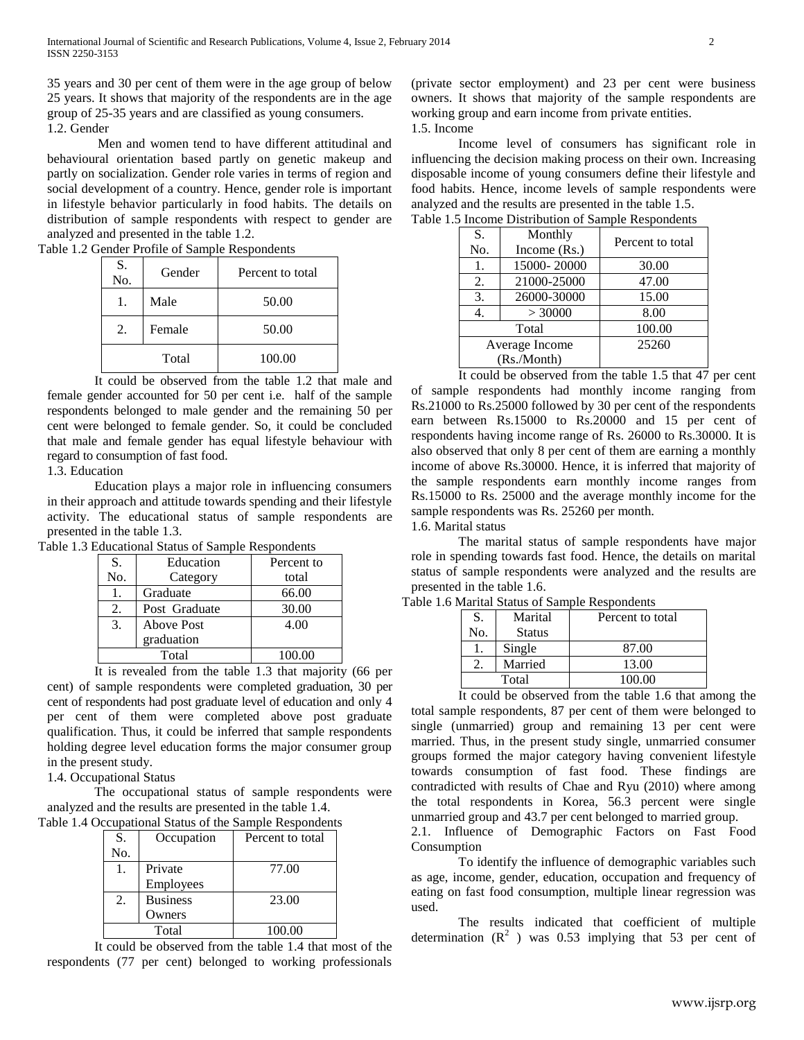35 years and 30 per cent of them were in the age group of below 25 years. It shows that majority of the respondents are in the age group of 25-35 years and are classified as young consumers. 1.2. Gender

Men and women tend to have different attitudinal and behavioural orientation based partly on genetic makeup and partly on socialization. Gender role varies in terms of region and social development of a country. Hence, gender role is important in lifestyle behavior particularly in food habits. The details on distribution of sample respondents with respect to gender are analyzed and presented in the table 1.2.

Table 1.2 Gender Profile of Sample Respondents

| S.<br>No. | Gender | Percent to total |
|-----------|--------|------------------|
|           | Male   | 50.00            |
| 2.        | Female | 50.00            |
|           | Total  | 100.00           |

It could be observed from the table 1.2 that male and female gender accounted for 50 per cent i.e. half of the sample respondents belonged to male gender and the remaining 50 per cent were belonged to female gender. So, it could be concluded that male and female gender has equal lifestyle behaviour with regard to consumption of fast food.

1.3. Education

Education plays a major role in influencing consumers in their approach and attitude towards spending and their lifestyle activity. The educational status of sample respondents are presented in the table 1.3.

Table 1.3 Educational Status of Sample Respondents

| S.  | Education     | Percent to |
|-----|---------------|------------|
| No. | Category      | total      |
|     | Graduate      | 66.00      |
| 2.  | Post Graduate | 30.00      |
| 3.  | Above Post    | 4.00       |
|     | graduation    |            |
|     | Total         | 100.00     |

It is revealed from the table 1.3 that majority (66 per cent) of sample respondents were completed graduation, 30 per cent of respondents had post graduate level of education and only 4 per cent of them were completed above post graduate qualification. Thus, it could be inferred that sample respondents holding degree level education forms the major consumer group in the present study.

1.4. Occupational Status

The occupational status of sample respondents were analyzed and the results are presented in the table 1.4.

| S.  | Occupation      | Percent to total |
|-----|-----------------|------------------|
| No. |                 |                  |
|     | Private         | 77.00            |
|     | Employees       |                  |
| 2.  | <b>Business</b> | 23.00            |
|     | Owners          |                  |
|     | Total           | 100.00           |

It could be observed from the table 1.4 that most of the respondents (77 per cent) belonged to working professionals (private sector employment) and 23 per cent were business owners. It shows that majority of the sample respondents are working group and earn income from private entities. 1.5. Income

Income level of consumers has significant role in influencing the decision making process on their own. Increasing disposable income of young consumers define their lifestyle and food habits. Hence, income levels of sample respondents were analyzed and the results are presented in the table 1.5.

| S.<br>No.      | Monthly<br>Income $(Rs.)$ | Percent to total |
|----------------|---------------------------|------------------|
| 1.             | 15000-20000               | 30.00            |
| 2.             | 21000-25000               | 47.00            |
| 3.             | 26000-30000               | 15.00            |
| 4.             | > 30000                   | 8.00             |
| Total          |                           | 100.00           |
| Average Income |                           | 25260            |
| (Rs./Month)    |                           |                  |

Table 1.5 Income Distribution of Sample Respondents

It could be observed from the table 1.5 that 47 per cent of sample respondents had monthly income ranging from Rs.21000 to Rs.25000 followed by 30 per cent of the respondents earn between Rs.15000 to Rs.20000 and 15 per cent of respondents having income range of Rs. 26000 to Rs.30000. It is also observed that only 8 per cent of them are earning a monthly income of above Rs.30000. Hence, it is inferred that majority of the sample respondents earn monthly income ranges from Rs.15000 to Rs. 25000 and the average monthly income for the sample respondents was Rs. 25260 per month.

## 1.6. Marital status

The marital status of sample respondents have major role in spending towards fast food. Hence, the details on marital status of sample respondents were analyzed and the results are presented in the table 1.6.

| S.  | Marital       | Percent to total |
|-----|---------------|------------------|
| No. | <b>Status</b> |                  |
|     | Single        | 87.00            |
|     | Married       | 13.00            |
|     | Total         | 100.00           |

Table 1.6 Marital Status of Sample Respondents

It could be observed from the table 1.6 that among the total sample respondents, 87 per cent of them were belonged to single (unmarried) group and remaining 13 per cent were married. Thus, in the present study single, unmarried consumer groups formed the major category having convenient lifestyle towards consumption of fast food. These findings are contradicted with results of Chae and Ryu (2010) where among the total respondents in Korea, 56.3 percent were single unmarried group and 43.7 per cent belonged to married group.

2.1. Influence of Demographic Factors on Fast Food Consumption

To identify the influence of demographic variables such as age, income, gender, education, occupation and frequency of eating on fast food consumption, multiple linear regression was used.

The results indicated that coefficient of multiple determination  $(R^2)$  was 0.53 implying that 53 per cent of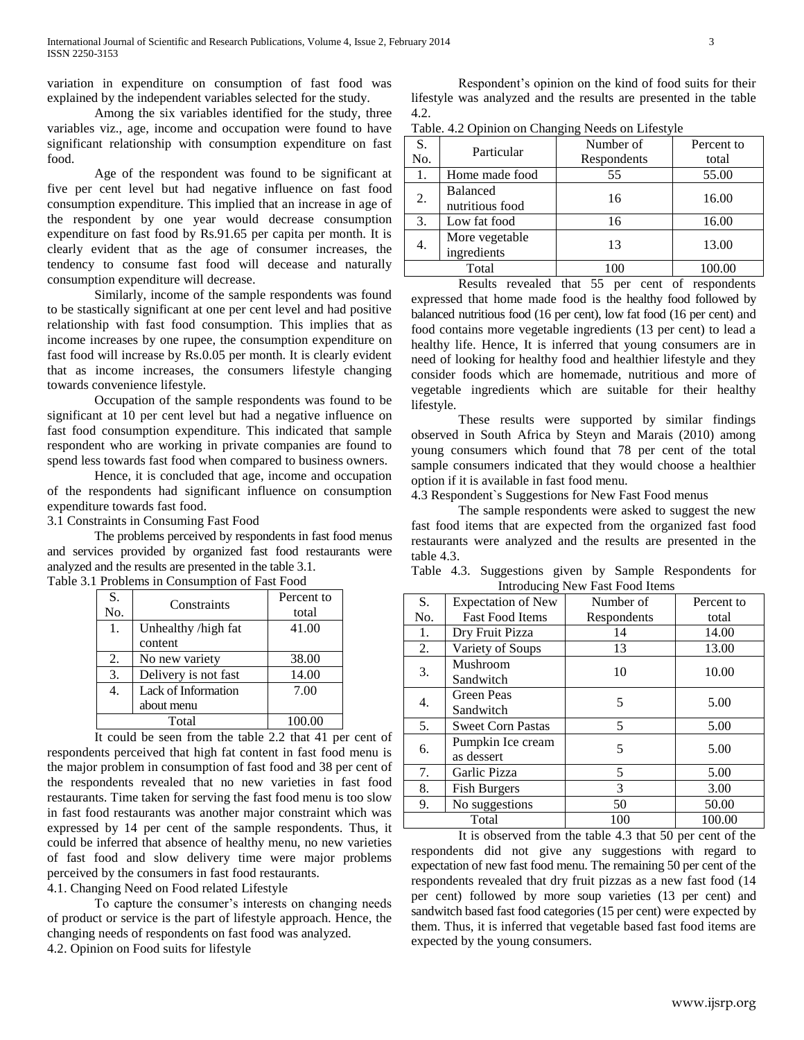variation in expenditure on consumption of fast food was explained by the independent variables selected for the study.

Among the six variables identified for the study, three variables viz., age, income and occupation were found to have significant relationship with consumption expenditure on fast food.

Age of the respondent was found to be significant at five per cent level but had negative influence on fast food consumption expenditure. This implied that an increase in age of the respondent by one year would decrease consumption expenditure on fast food by Rs.91.65 per capita per month. It is clearly evident that as the age of consumer increases, the tendency to consume fast food will decease and naturally consumption expenditure will decrease.

Similarly, income of the sample respondents was found to be stastically significant at one per cent level and had positive relationship with fast food consumption. This implies that as income increases by one rupee, the consumption expenditure on fast food will increase by Rs.0.05 per month. It is clearly evident that as income increases, the consumers lifestyle changing towards convenience lifestyle.

Occupation of the sample respondents was found to be significant at 10 per cent level but had a negative influence on fast food consumption expenditure. This indicated that sample respondent who are working in private companies are found to spend less towards fast food when compared to business owners.

Hence, it is concluded that age, income and occupation of the respondents had significant influence on consumption expenditure towards fast food.

3.1 Constraints in Consuming Fast Food

The problems perceived by respondents in fast food menus and services provided by organized fast food restaurants were analyzed and the results are presented in the table 3.1. Table 3.1 Problems in Consumption of Fast Food

| S.<br>No. | Constraints          | Percent to<br>total |
|-----------|----------------------|---------------------|
| 1.        | Unhealthy /high fat  | 41.00               |
|           | content              |                     |
| 2.        | No new variety       | 38.00               |
| 3.        | Delivery is not fast | 14.00               |
| 4.        | Lack of Information  | 7.00                |
|           | about menu           |                     |
|           | Total                | 100.00              |
|           |                      |                     |

It could be seen from the table 2.2 that 41 per cent of respondents perceived that high fat content in fast food menu is the major problem in consumption of fast food and 38 per cent of the respondents revealed that no new varieties in fast food restaurants. Time taken for serving the fast food menu is too slow in fast food restaurants was another major constraint which was expressed by 14 per cent of the sample respondents. Thus, it could be inferred that absence of healthy menu, no new varieties of fast food and slow delivery time were major problems perceived by the consumers in fast food restaurants.

4.1. Changing Need on Food related Lifestyle

To capture the consumer's interests on changing needs of product or service is the part of lifestyle approach. Hence, the changing needs of respondents on fast food was analyzed. 4.2. Opinion on Food suits for lifestyle

Respondent's opinion on the kind of food suits for their lifestyle was analyzed and the results are presented in the table 4.2.

Table. 4.2 Opinion on Changing Needs on Lifestyle

| S.  | Particular      | Number of   | Percent to |
|-----|-----------------|-------------|------------|
| No. |                 | Respondents | total      |
| 1.  | Home made food  | 55          | 55.00      |
| 2.  | Balanced        | 16          | 16.00      |
|     | nutritious food |             |            |
| 3.  | Low fat food    | 16          | 16.00      |
| 4.  | More vegetable  | 13          | 13.00      |
|     | ingredients     |             |            |
|     | Total           |             | 100.00     |

Results revealed that 55 per cent of respondents expressed that home made food is the healthy food followed by balanced nutritious food (16 per cent), low fat food (16 per cent) and food contains more vegetable ingredients (13 per cent) to lead a healthy life. Hence, It is inferred that young consumers are in need of looking for healthy food and healthier lifestyle and they consider foods which are homemade, nutritious and more of vegetable ingredients which are suitable for their healthy lifestyle.

These results were supported by similar findings observed in South Africa by Steyn and Marais (2010) among young consumers which found that 78 per cent of the total sample consumers indicated that they would choose a healthier option if it is available in fast food menu.

4.3 Respondent`s Suggestions for New Fast Food menus

The sample respondents were asked to suggest the new fast food items that are expected from the organized fast food restaurants were analyzed and the results are presented in the table 4.3.

Table 4.3. Suggestions given by Sample Respondents for Introducing New Fast Food Items

| S.  | <b>Expectation of New</b>       | Number of   | Percent to |
|-----|---------------------------------|-------------|------------|
| No. | <b>Fast Food Items</b>          | Respondents | total      |
| 1.  | Dry Fruit Pizza                 | 14          | 14.00      |
| 2.  | Variety of Soups                | 13          | 13.00      |
| 3.  | Mushroom<br>Sandwitch           | 10          | 10.00      |
| 4.  | <b>Green Peas</b><br>Sandwitch  | 5           | 5.00       |
| 5.  | <b>Sweet Corn Pastas</b>        | 5           | 5.00       |
| 6.  | Pumpkin Ice cream<br>as dessert | 5           | 5.00       |
| 7.  | Garlic Pizza                    | 5           | 5.00       |
| 8.  | <b>Fish Burgers</b>             | 3           | 3.00       |
| 9.  | No suggestions                  | 50          | 50.00      |
|     | Total                           | 100         | 100.00     |

It is observed from the table 4.3 that 50 per cent of the respondents did not give any suggestions with regard to expectation of new fast food menu. The remaining 50 per cent of the respondents revealed that dry fruit pizzas as a new fast food (14 per cent) followed by more soup varieties (13 per cent) and sandwitch based fast food categories (15 per cent) were expected by them. Thus, it is inferred that vegetable based fast food items are expected by the young consumers.